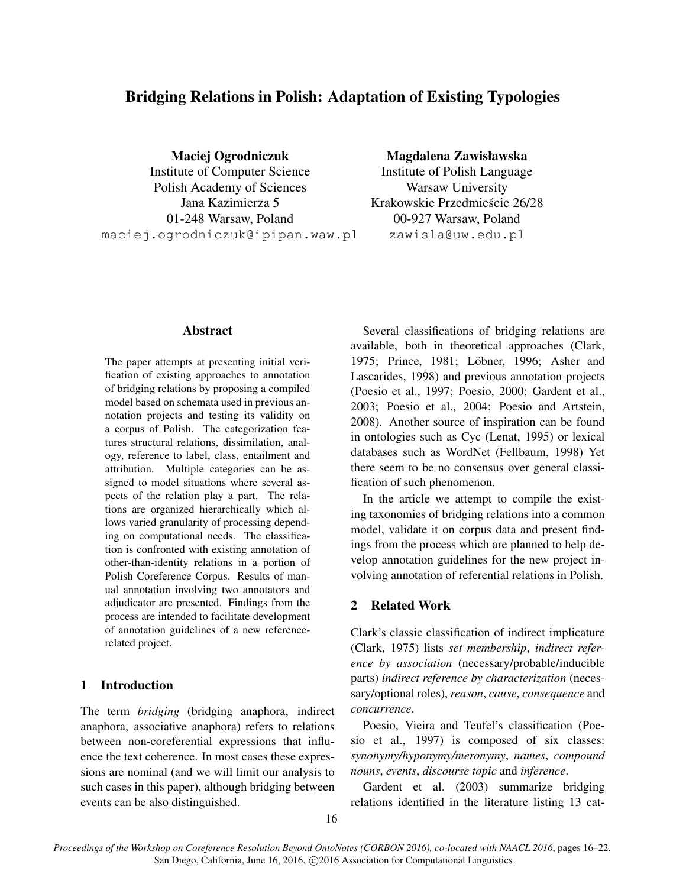# Bridging Relations in Polish: Adaptation of Existing Typologies

Maciej Ogrodniczuk

Institute of Computer Science Polish Academy of Sciences Jana Kazimierza 5 01-248 Warsaw, Poland maciej.ogrodniczuk@ipipan.waw.pl

# Magdalena Zawisławska

Institute of Polish Language Warsaw University Krakowskie Przedmiescie 26/28 ´ 00-927 Warsaw, Poland zawisla@uw.edu.pl

#### Abstract

The paper attempts at presenting initial verification of existing approaches to annotation of bridging relations by proposing a compiled model based on schemata used in previous annotation projects and testing its validity on a corpus of Polish. The categorization features structural relations, dissimilation, analogy, reference to label, class, entailment and attribution. Multiple categories can be assigned to model situations where several aspects of the relation play a part. The relations are organized hierarchically which allows varied granularity of processing depending on computational needs. The classification is confronted with existing annotation of other-than-identity relations in a portion of Polish Coreference Corpus. Results of manual annotation involving two annotators and adjudicator are presented. Findings from the process are intended to facilitate development of annotation guidelines of a new referencerelated project.

### 1 Introduction

The term *bridging* (bridging anaphora, indirect anaphora, associative anaphora) refers to relations between non-coreferential expressions that influence the text coherence. In most cases these expressions are nominal (and we will limit our analysis to such cases in this paper), although bridging between events can be also distinguished.

Several classifications of bridging relations are available, both in theoretical approaches (Clark, 1975; Prince, 1981; Löbner, 1996; Asher and Lascarides, 1998) and previous annotation projects (Poesio et al., 1997; Poesio, 2000; Gardent et al., 2003; Poesio et al., 2004; Poesio and Artstein, 2008). Another source of inspiration can be found in ontologies such as Cyc (Lenat, 1995) or lexical databases such as WordNet (Fellbaum, 1998) Yet there seem to be no consensus over general classification of such phenomenon.

In the article we attempt to compile the existing taxonomies of bridging relations into a common model, validate it on corpus data and present findings from the process which are planned to help develop annotation guidelines for the new project involving annotation of referential relations in Polish.

## 2 Related Work

Clark's classic classification of indirect implicature (Clark, 1975) lists *set membership*, *indirect reference by association* (necessary/probable/inducible parts) *indirect reference by characterization* (necessary/optional roles), *reason*, *cause*, *consequence* and *concurrence*.

Poesio, Vieira and Teufel's classification (Poesio et al., 1997) is composed of six classes: *synonymy/hyponymy/meronymy*, *names*, *compound nouns*, *events*, *discourse topic* and *inference*.

Gardent et al. (2003) summarize bridging relations identified in the literature listing 13 cat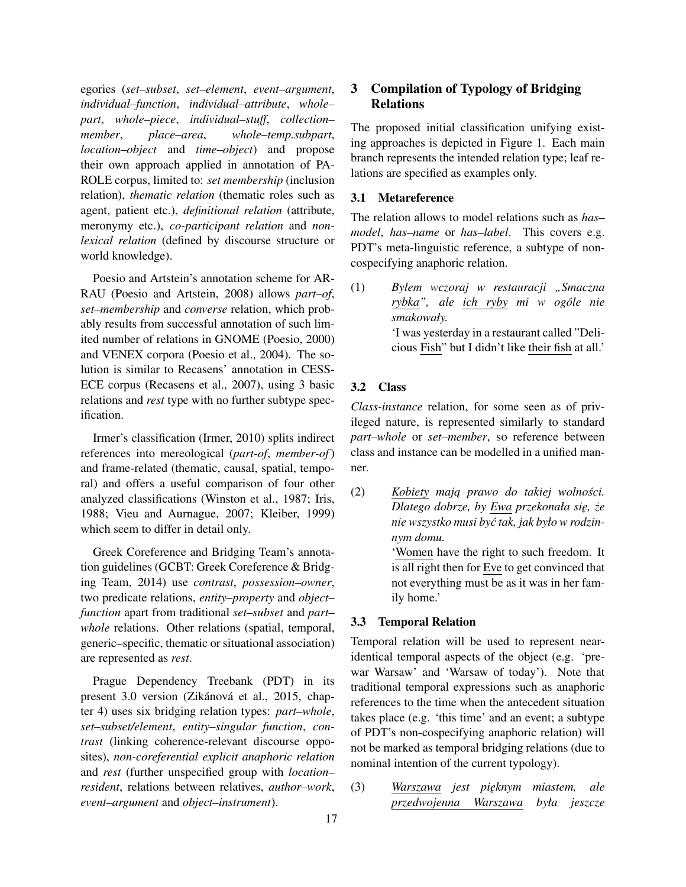egories (*set–subset*, *set–element*, *event–argument*, *individual–function*, *individual–attribute*, *whole– part*, *whole–piece*, *individual–stuff*, *collection– member*, *place–area*, *whole–temp.subpart*, *location–object* and *time–object*) and propose their own approach applied in annotation of PA-ROLE corpus, limited to: *set membership* (inclusion relation), *thematic relation* (thematic roles such as agent, patient etc.), *definitional relation* (attribute, meronymy etc.), *co-participant relation* and *nonlexical relation* (defined by discourse structure or world knowledge).

Poesio and Artstein's annotation scheme for AR-RAU (Poesio and Artstein, 2008) allows *part–of*, *set–membership* and *converse* relation, which probably results from successful annotation of such limited number of relations in GNOME (Poesio, 2000) and VENEX corpora (Poesio et al., 2004). The solution is similar to Recasens' annotation in CESS-ECE corpus (Recasens et al., 2007), using 3 basic relations and *rest* type with no further subtype specification.

Irmer's classification (Irmer, 2010) splits indirect references into mereological (*part-of*, *member-of*) and frame-related (thematic, causal, spatial, temporal) and offers a useful comparison of four other analyzed classifications (Winston et al., 1987; Iris, 1988; Vieu and Aurnague, 2007; Kleiber, 1999) which seem to differ in detail only.

Greek Coreference and Bridging Team's annotation guidelines (GCBT: Greek Coreference & Bridging Team, 2014) use *contrast*, *possession–owner*, two predicate relations, *entity–property* and *object– function* apart from traditional *set–subset* and *part– whole* relations. Other relations (spatial, temporal, generic–specific, thematic or situational association) are represented as *rest*.

Prague Dependency Treebank (PDT) in its present 3.0 version (Zikánová et al., 2015, chapter 4) uses six bridging relation types: *part–whole*, *set–subset/element*, *entity–singular function*, *contrast* (linking coherence-relevant discourse opposites), *non-coreferential explicit anaphoric relation* and *rest* (further unspecified group with *location– resident*, relations between relatives, *author–work*, *event–argument* and *object–instrument*).

# 3 Compilation of Typology of Bridging Relations

The proposed initial classification unifying existing approaches is depicted in Figure 1. Each main branch represents the intended relation type; leaf relations are specified as examples only.

#### 3.1 Metareference

The relation allows to model relations such as *has– model*, *has–name* or *has–label*. This covers e.g. PDT's meta-linguistic reference, a subtype of noncospecifying anaphoric relation.

# 3.2 Class

*Class-instance* relation, for some seen as of privileged nature, is represented similarly to standard *part–whole* or *set–member*, so reference between class and instance can be modelled in a unified manner.

(2) *Kobiety mają prawo do takiej wolności. Dlatego dobrze, by Ewa przekonała si˛e, ze˙ nie wszystko musi by´c tak, jak było w rodzinnym domu.* 'Women have the right to such freedom. It

is all right then for Eve to get convinced that not everything must be as it was in her family home.'

## 3.3 Temporal Relation

Temporal relation will be used to represent nearidentical temporal aspects of the object (e.g. 'prewar Warsaw' and 'Warsaw of today'). Note that traditional temporal expressions such as anaphoric references to the time when the antecedent situation takes place (e.g. 'this time' and an event; a subtype of PDT's non-cospecifying anaphoric relation) will not be marked as temporal bridging relations (due to nominal intention of the current typology).

(3) *Warszawa jest pi˛eknym miastem, ale przedwojenna Warszawa była jeszcze*

<sup>(1)</sup> *Byłem wczoraj w restauracji "Smaczna rybka", ale ich ryby mi w ogóle nie smakowały.* 'I was yesterday in a restaurant called "Delicious Fish" but I didn't like their fish at all.'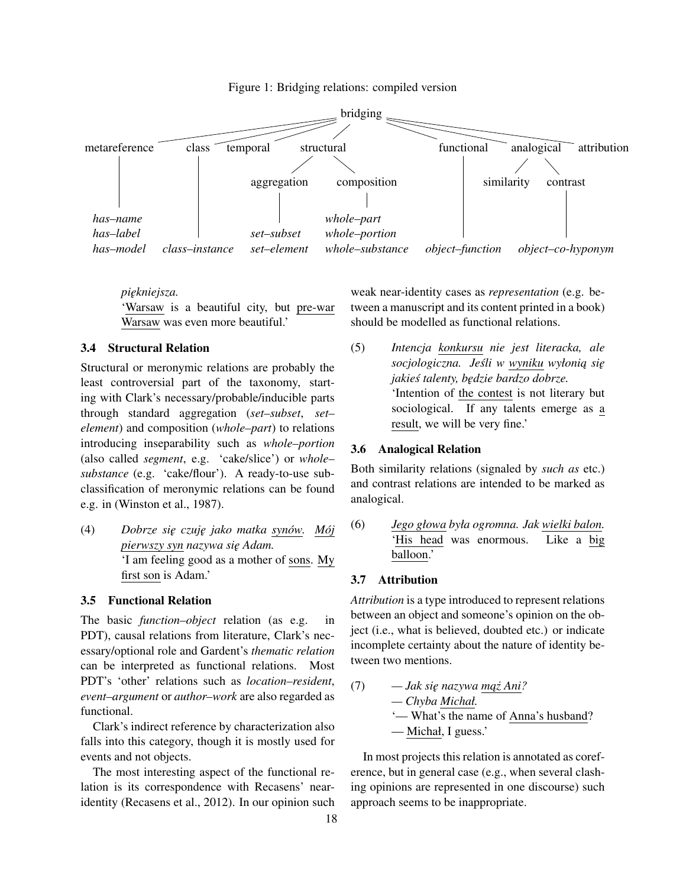Figure 1: Bridging relations: compiled version



*pi˛ekniejsza.*

'Warsaw is a beautiful city, but pre-war Warsaw was even more beautiful.'

#### 3.4 Structural Relation

Structural or meronymic relations are probably the least controversial part of the taxonomy, starting with Clark's necessary/probable/inducible parts through standard aggregation (*set–subset*, *set– element*) and composition (*whole–part*) to relations introducing inseparability such as *whole–portion* (also called *segment*, e.g. 'cake/slice') or *whole– substance* (e.g. 'cake/flour'). A ready-to-use subclassification of meronymic relations can be found e.g. in (Winston et al., 1987).

(4) *Dobrze si˛e czuj˛e jako matka synów. Mój pierwszy syn nazywa si˛e Adam.* 'I am feeling good as a mother of sons. My first son is Adam.'

#### 3.5 Functional Relation

The basic *function–object* relation (as e.g. in PDT), causal relations from literature, Clark's necessary/optional role and Gardent's *thematic relation* can be interpreted as functional relations. Most PDT's 'other' relations such as *location–resident*, *event–argument* or *author–work* are also regarded as functional.

Clark's indirect reference by characterization also falls into this category, though it is mostly used for events and not objects.

The most interesting aspect of the functional relation is its correspondence with Recasens' nearidentity (Recasens et al., 2012). In our opinion such weak near-identity cases as *representation* (e.g. between a manuscript and its content printed in a book) should be modelled as functional relations.

(5) *Intencja konkursu nie jest literacka, ale*  $sociologiczna.$  Jeśli w wyniku wyłonią się *jakies talenty, b˛edzie bardzo dobrze. ´* 'Intention of the contest is not literary but sociological. If any talents emerge as a result, we will be very fine.'

### 3.6 Analogical Relation

Both similarity relations (signaled by *such as* etc.) and contrast relations are intended to be marked as analogical.

(6) *Jego głowa była ogromna. Jak wielki balon.* 'His head was enormous. Like a big balloon.'

### 3.7 Attribution

*Attribution* is a type introduced to represent relations between an object and someone's opinion on the object (i.e., what is believed, doubted etc.) or indicate incomplete certainty about the nature of identity between two mentions.

(7) *— Jak si˛e nazywa m ˛az˙ Ani? — Chyba Michał.* '— What's the name of Anna's husband? — Michał, I guess.'

In most projects this relation is annotated as coreference, but in general case (e.g., when several clashing opinions are represented in one discourse) such approach seems to be inappropriate.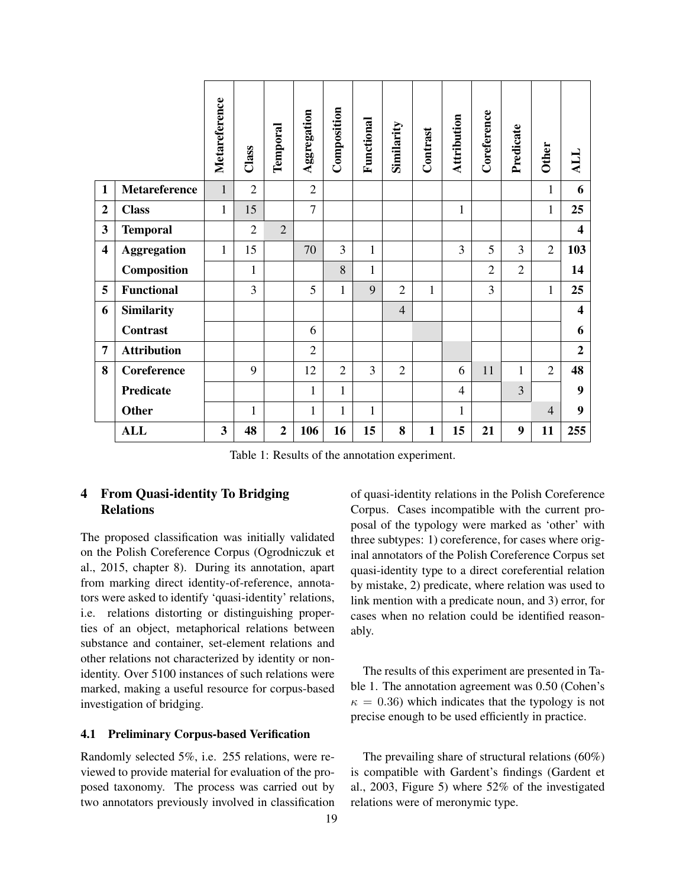|                         |                      | Metareference | Class          | Temporal       | Aggregation    | Composition    | Functional   | Similarity     | Contrast     | Attribution    | Coreference    | Predicate      | <b>Other</b>   | TTY                     |
|-------------------------|----------------------|---------------|----------------|----------------|----------------|----------------|--------------|----------------|--------------|----------------|----------------|----------------|----------------|-------------------------|
| $\mathbf{1}$            | <b>Metareference</b> | 1             | $\overline{2}$ |                | $\overline{2}$ |                |              |                |              |                |                |                | 1              | 6                       |
| $\overline{2}$          | <b>Class</b>         | $\mathbf{1}$  | 15             |                | $\overline{7}$ |                |              |                |              | $\mathbf{1}$   |                |                | $\mathbf{1}$   | 25                      |
| 3                       | <b>Temporal</b>      |               | $\overline{2}$ | $\overline{2}$ |                |                |              |                |              |                |                |                |                | $\overline{\mathbf{4}}$ |
| $\overline{\mathbf{4}}$ | <b>Aggregation</b>   | 1             | 15             |                | 70             | 3              | $\mathbf{1}$ |                |              | 3              | 5              | 3              | $\overline{2}$ | 103                     |
|                         | Composition          |               | 1              |                |                | 8              | $\mathbf{1}$ |                |              |                | $\overline{2}$ | $\overline{2}$ |                | 14                      |
| 5                       | <b>Functional</b>    |               | 3              |                | 5              | 1              | 9            | $\overline{2}$ | $\mathbf{1}$ |                | 3              |                | $\mathbf{1}$   | 25                      |
| 6                       | <b>Similarity</b>    |               |                |                |                |                |              | $\overline{4}$ |              |                |                |                |                | $\overline{\mathbf{4}}$ |
|                         | <b>Contrast</b>      |               |                |                | 6              |                |              |                |              |                |                |                |                | 6                       |
| 7                       | <b>Attribution</b>   |               |                |                | $\overline{2}$ |                |              |                |              |                |                |                |                | $\boldsymbol{2}$        |
| 8                       | Coreference          |               | 9              |                | 12             | $\overline{2}$ | 3            | $\overline{2}$ |              | 6              | 11             | $\mathbf{1}$   | $\overline{2}$ | 48                      |
|                         | Predicate            |               |                |                | $\mathbf{1}$   | $\mathbf{1}$   |              |                |              | $\overline{4}$ |                | 3              |                | 9                       |
|                         | <b>Other</b>         |               | 1              |                | $\mathbf{1}$   | $\mathbf{1}$   | $\mathbf{1}$ |                |              | $\mathbf{1}$   |                |                | $\overline{4}$ | 9                       |
|                         | <b>ALL</b>           | 3             | 48             | $\overline{2}$ | 106            | 16             | 15           | 8              | $\mathbf{1}$ | 15             | 21             | 9              | 11             | 255                     |

Table 1: Results of the annotation experiment.

# 4 From Quasi-identity To Bridging Relations

The proposed classification was initially validated on the Polish Coreference Corpus (Ogrodniczuk et al., 2015, chapter 8). During its annotation, apart from marking direct identity-of-reference, annotators were asked to identify 'quasi-identity' relations, i.e. relations distorting or distinguishing properties of an object, metaphorical relations between substance and container, set-element relations and other relations not characterized by identity or nonidentity. Over 5100 instances of such relations were marked, making a useful resource for corpus-based investigation of bridging.

#### 4.1 Preliminary Corpus-based Verification

Randomly selected 5%, i.e. 255 relations, were reviewed to provide material for evaluation of the proposed taxonomy. The process was carried out by two annotators previously involved in classification

19

of quasi-identity relations in the Polish Coreference Corpus. Cases incompatible with the current proposal of the typology were marked as 'other' with three subtypes: 1) coreference, for cases where original annotators of the Polish Coreference Corpus set quasi-identity type to a direct coreferential relation by mistake, 2) predicate, where relation was used to link mention with a predicate noun, and 3) error, for cases when no relation could be identified reasonably.

The results of this experiment are presented in Table 1. The annotation agreement was 0.50 (Cohen's  $\kappa = 0.36$ ) which indicates that the typology is not precise enough to be used efficiently in practice.

The prevailing share of structural relations (60%) is compatible with Gardent's findings (Gardent et al., 2003, Figure 5) where 52% of the investigated relations were of meronymic type.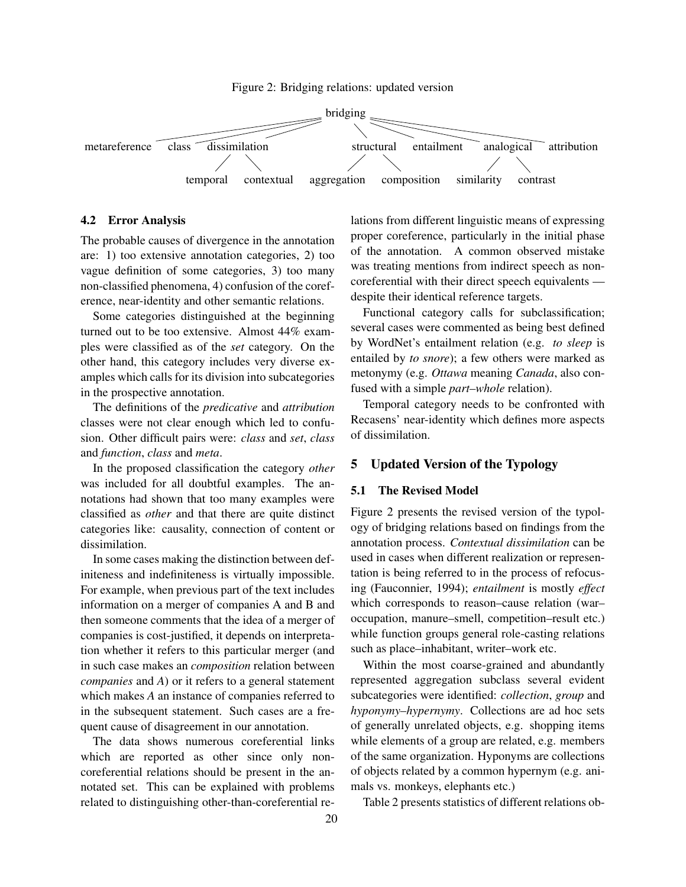Figure 2: Bridging relations: updated version



#### 4.2 Error Analysis

The probable causes of divergence in the annotation are: 1) too extensive annotation categories, 2) too vague definition of some categories, 3) too many non-classified phenomena, 4) confusion of the coreference, near-identity and other semantic relations.

Some categories distinguished at the beginning turned out to be too extensive. Almost 44% examples were classified as of the *set* category. On the other hand, this category includes very diverse examples which calls for its division into subcategories in the prospective annotation.

The definitions of the *predicative* and *attribution* classes were not clear enough which led to confusion. Other difficult pairs were: *class* and *set*, *class* and *function*, *class* and *meta*.

In the proposed classification the category *other* was included for all doubtful examples. The annotations had shown that too many examples were classified as *other* and that there are quite distinct categories like: causality, connection of content or dissimilation.

In some cases making the distinction between definiteness and indefiniteness is virtually impossible. For example, when previous part of the text includes information on a merger of companies A and B and then someone comments that the idea of a merger of companies is cost-justified, it depends on interpretation whether it refers to this particular merger (and in such case makes an *composition* relation between *companies* and *A*) or it refers to a general statement which makes *A* an instance of companies referred to in the subsequent statement. Such cases are a frequent cause of disagreement in our annotation.

The data shows numerous coreferential links which are reported as other since only noncoreferential relations should be present in the annotated set. This can be explained with problems related to distinguishing other-than-coreferential relations from different linguistic means of expressing proper coreference, particularly in the initial phase of the annotation. A common observed mistake was treating mentions from indirect speech as noncoreferential with their direct speech equivalents despite their identical reference targets.

Functional category calls for subclassification; several cases were commented as being best defined by WordNet's entailment relation (e.g. *to sleep* is entailed by *to snore*); a few others were marked as metonymy (e.g. *Ottawa* meaning *Canada*, also confused with a simple *part–whole* relation).

Temporal category needs to be confronted with Recasens' near-identity which defines more aspects of dissimilation.

# 5 Updated Version of the Typology

#### 5.1 The Revised Model

Figure 2 presents the revised version of the typology of bridging relations based on findings from the annotation process. *Contextual dissimilation* can be used in cases when different realization or representation is being referred to in the process of refocusing (Fauconnier, 1994); *entailment* is mostly *effect* which corresponds to reason–cause relation (war– occupation, manure–smell, competition–result etc.) while function groups general role-casting relations such as place–inhabitant, writer–work etc.

Within the most coarse-grained and abundantly represented aggregation subclass several evident subcategories were identified: *collection*, *group* and *hyponymy–hypernymy*. Collections are ad hoc sets of generally unrelated objects, e.g. shopping items while elements of a group are related, e.g. members of the same organization. Hyponyms are collections of objects related by a common hypernym (e.g. animals vs. monkeys, elephants etc.)

Table 2 presents statistics of different relations ob-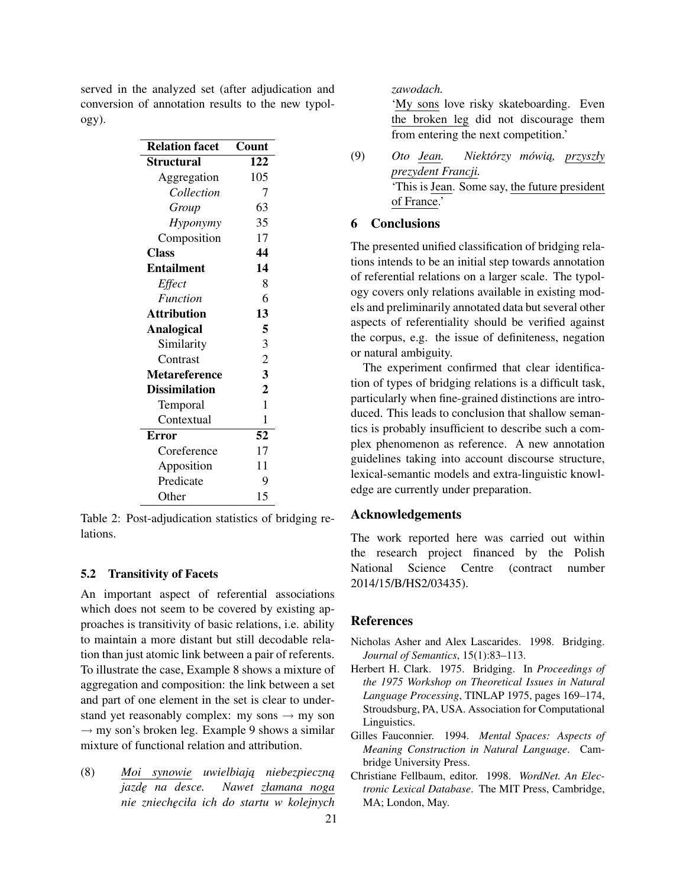served in the analyzed set (after adjudication and conversion of annotation results to the new typology).

| <b>Relation facet</b> | Count                   |
|-----------------------|-------------------------|
| Structural            | 122                     |
| Aggregation           | 105                     |
| Collection            | 7                       |
| Group                 | 63                      |
| Hyponymy              | 35                      |
| Composition           | 17                      |
| <b>Class</b>          | 44                      |
| <b>Entailment</b>     | 14                      |
| Effect                | 8                       |
| <b>Function</b>       | 6                       |
| <b>Attribution</b>    | 13                      |
| Analogical            | 5                       |
| Similarity            | 3                       |
| Contrast              | $\overline{c}$          |
| <b>Metareference</b>  | $\overline{\mathbf{3}}$ |
| <b>Dissimilation</b>  | $\overline{2}$          |
| Temporal              | 1                       |
| Contextual            | 1                       |
| <b>Error</b>          | 52                      |
| Coreference           | 17                      |
| Apposition            | 11                      |
| Predicate             | 9                       |
| Other                 | 15                      |

Table 2: Post-adjudication statistics of bridging relations.

# 5.2 Transitivity of Facets

An important aspect of referential associations which does not seem to be covered by existing approaches is transitivity of basic relations, i.e. ability to maintain a more distant but still decodable relation than just atomic link between a pair of referents. To illustrate the case, Example 8 shows a mixture of aggregation and composition: the link between a set and part of one element in the set is clear to understand yet reasonably complex: my sons  $\rightarrow$  my son  $\rightarrow$  my son's broken leg. Example 9 shows a similar mixture of functional relation and attribution.

(8) *Moi synowie uwielbiają niebezpieczną jazd˛e na desce. Nawet złamana noga nie zniech˛eciła ich do startu w kolejnych*

#### *zawodach.*

'My sons love risky skateboarding. Even the broken leg did not discourage them from entering the next competition.'

## 6 Conclusions

The presented unified classification of bridging relations intends to be an initial step towards annotation of referential relations on a larger scale. The typology covers only relations available in existing models and preliminarily annotated data but several other aspects of referentiality should be verified against the corpus, e.g. the issue of definiteness, negation or natural ambiguity.

The experiment confirmed that clear identification of types of bridging relations is a difficult task, particularly when fine-grained distinctions are introduced. This leads to conclusion that shallow semantics is probably insufficient to describe such a complex phenomenon as reference. A new annotation guidelines taking into account discourse structure, lexical-semantic models and extra-linguistic knowledge are currently under preparation.

### Acknowledgements

The work reported here was carried out within the research project financed by the Polish National Science Centre (contract number 2014/15/B/HS2/03435).

# References

- Nicholas Asher and Alex Lascarides. 1998. Bridging. *Journal of Semantics*, 15(1):83–113.
- Herbert H. Clark. 1975. Bridging. In *Proceedings of the 1975 Workshop on Theoretical Issues in Natural Language Processing*, TINLAP 1975, pages 169–174, Stroudsburg, PA, USA. Association for Computational Linguistics.
- Gilles Fauconnier. 1994. *Mental Spaces: Aspects of Meaning Construction in Natural Language*. Cambridge University Press.
- Christiane Fellbaum, editor. 1998. *WordNet. An Electronic Lexical Database*. The MIT Press, Cambridge, MA; London, May.

<sup>(9)</sup> *Oto Jean. Niektórzy mówią, przyszły prezydent Francji.* 'This is Jean. Some say, the future president of France.'